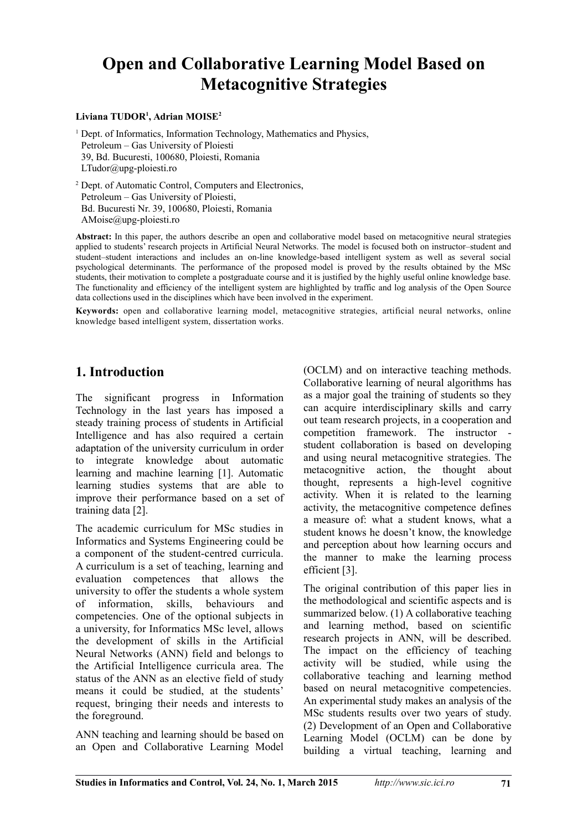# **Open and Collaborative Learning Model Based on Metacognitive Strategies**

#### **Liviana TUDOR<sup>1</sup> , Adrian MOISE<sup>2</sup>**

<sup>1</sup> Dept. of Informatics, Information Technology, Mathematics and Physics, Petroleum – Gas University of Ploiesti 39, Bd. Bucuresti, 100680, Ploiesti, Romania LTudor@upg-ploiesti.ro

<sup>2</sup> Dept. of Automatic Control, Computers and Electronics, Petroleum – Gas University of Ploiesti, Bd. Bucuresti Nr. 39, 100680, Ploiesti, Romania AMoise@upg-ploiesti.ro

**Abstract:** In this paper, the authors describe an open and collaborative model based on metacognitive neural strategies applied to students' research projects in Artificial Neural Networks. The model is focused both on instructor–student and student–student interactions and includes an on-line knowledge-based intelligent system as well as several social psychological determinants. The performance of the proposed model is proved by the results obtained by the MSc students, their motivation to complete a postgraduate course and it is justified by the highly useful online knowledge base. The functionality and efficiency of the intelligent system are highlighted by traffic and log analysis of the Open Source data collections used in the disciplines which have been involved in the experiment.

**Keywords:** open and collaborative learning model, metacognitive strategies, artificial neural networks, online knowledge based intelligent system, dissertation works.

## **1. Introduction**

The significant progress in Information Technology in the last years has imposed a steady training process of students in Artificial Intelligence and has also required a certain adaptation of the university curriculum in order to integrate knowledge about automatic learning and machine learning [1]. Automatic learning studies systems that are able to improve their performance based on a set of training data [2].

The academic curriculum for MSc studies in Informatics and Systems Engineering could be a component of the student-centred curricula. A curriculum is a set of teaching, learning and evaluation competences that allows the university to offer the students a whole system of information, skills, behaviours and competencies. One of the optional subjects in a university, for Informatics MSc level, allows the development of skills in the Artificial Neural Networks (ANN) field and belongs to the Artificial Intelligence curricula area. The status of the ANN as an elective field of study means it could be studied, at the students' request, bringing their needs and interests to the foreground.

ANN teaching and learning should be based on an Open and Collaborative Learning Model

(OCLM) and on interactive teaching methods. Collaborative learning of neural algorithms has as a major goal the training of students so they can acquire interdisciplinary skills and carry out team research projects, in a cooperation and competition framework. The instructor student collaboration is based on developing and using neural metacognitive strategies. The metacognitive action, the thought about thought, represents a high-level cognitive activity. When it is related to the learning activity, the metacognitive competence defines a measure of: what a student knows, what a student knows he doesn't know, the knowledge and perception about how learning occurs and the manner to make the learning process efficient [3].

The original contribution of this paper lies in the methodological and scientific aspects and is summarized below. (1) A collaborative teaching and learning method, based on scientific research projects in ANN, will be described. The impact on the efficiency of teaching activity will be studied, while using the collaborative teaching and learning method based on neural metacognitive competencies. An experimental study makes an analysis of the MSc students results over two years of study. (2) Development of an Open and Collaborative Learning Model (OCLM) can be done by building a virtual teaching, learning and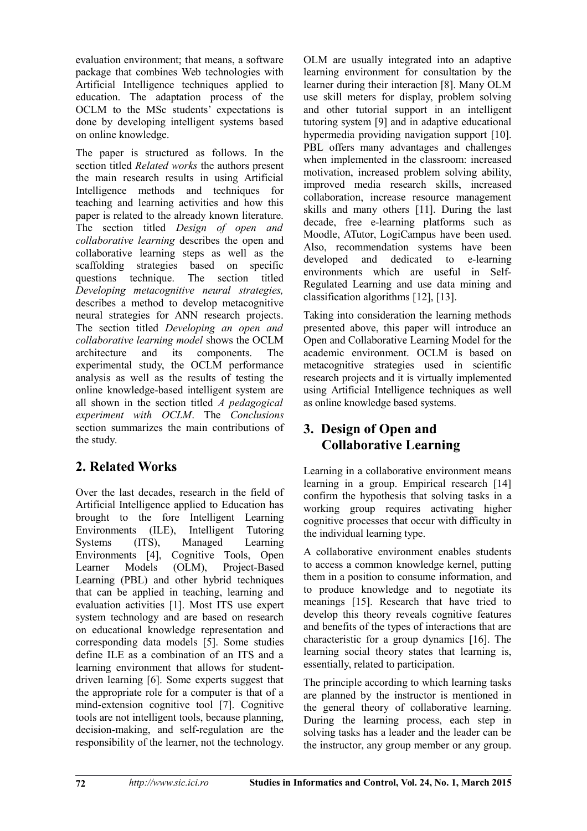evaluation environment; that means, a software package that combines Web technologies with Artificial Intelligence techniques applied to education. The adaptation process of the OCLM to the MSc students' expectations is done by developing intelligent systems based on online knowledge.

The paper is structured as follows. In the section titled *Related works* the authors present the main research results in using Artificial Intelligence methods and techniques for teaching and learning activities and how this paper is related to the already known literature. The section titled *Design of open and collaborative learning* describes the open and collaborative learning steps as well as the scaffolding strategies based on specific questions technique. The section titled *Developing metacognitive neural strategies,* describes a method to develop metacognitive neural strategies for ANN research projects. The section titled *Developing an open and collaborative learning model* shows the OCLM architecture and its components. The experimental study, the OCLM performance analysis as well as the results of testing the online knowledge-based intelligent system are all shown in the section titled *A pedagogical experiment with OCLM*. The *Conclusions* section summarizes the main contributions of the study.

# **2. Related Works**

Over the last decades, research in the field of Artificial Intelligence applied to Education has brought to the fore Intelligent Learning Environments (ILE), Intelligent Tutoring Systems (ITS), Managed Learning Environments [4], Cognitive Tools, Open Learner Models (OLM), Project-Based Learning (PBL) and other hybrid techniques that can be applied in teaching, learning and evaluation activities [1]. Most ITS use expert system technology and are based on research on educational knowledge representation and corresponding data models [5]. Some studies define ILE as a combination of an ITS and a learning environment that allows for studentdriven learning [6]. Some experts suggest that the appropriate role for a computer is that of a mind-extension cognitive tool [7]. Cognitive tools are not intelligent tools, because planning, decision-making, and self-regulation are the responsibility of the learner, not the technology.

OLM are usually integrated into an adaptive learning environment for consultation by the learner during their interaction [8]. Many OLM use skill meters for display, problem solving and other tutorial support in an intelligent tutoring system [9] and in adaptive educational hypermedia providing navigation support [10]. PBL offers many advantages and challenges when implemented in the classroom: increased motivation, increased problem solving ability, improved media research skills, increased collaboration, increase resource management skills and many others [11]. During the last decade, free e-learning platforms such as Moodle, ATutor, LogiCampus have been used. Also, recommendation systems have been developed and dedicated to e-learning environments which are useful in Self-Regulated Learning and use data mining and classification algorithms [12], [13].

Taking into consideration the learning methods presented above, this paper will introduce an Open and Collaborative Learning Model for the academic environment. OCLM is based on metacognitive strategies used in scientific research projects and it is virtually implemented using Artificial Intelligence techniques as well as online knowledge based systems.

# **3. Design of Open and Collaborative Learning**

Learning in a collaborative environment means learning in a group. Empirical research [14] confirm the hypothesis that solving tasks in a working group requires activating higher cognitive processes that occur with difficulty in the individual learning type.

A collaborative environment enables students to access a common knowledge kernel, putting them in a position to consume information, and to produce knowledge and to negotiate its meanings [15]. Research that have tried to develop this theory reveals cognitive features and benefits of the types of interactions that are characteristic for a group dynamics [16]. The learning social theory states that learning is, essentially, related to participation.

The principle according to which learning tasks are planned by the instructor is mentioned in the general theory of collaborative learning. During the learning process, each step in solving tasks has a leader and the leader can be the instructor, any group member or any group.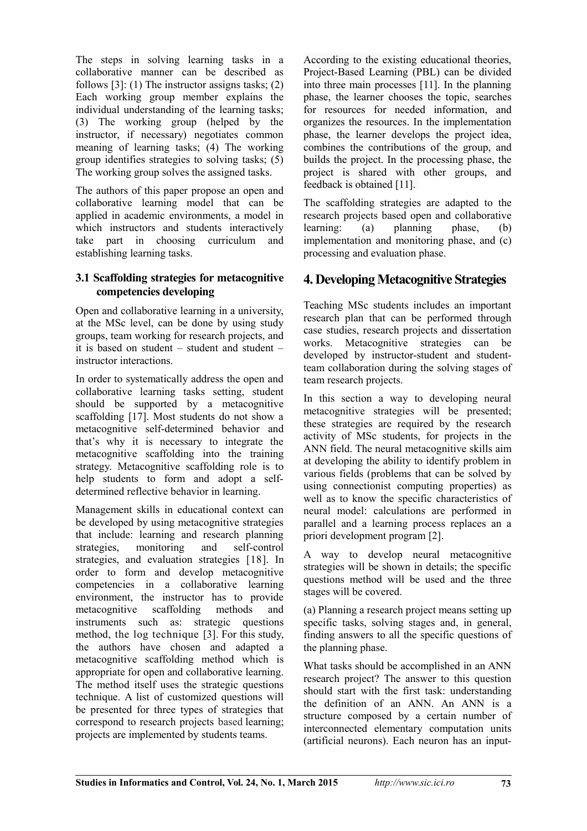The steps in solving learning tasks in a collaborative manner can be described as follows [3]: (1) The instructor assigns tasks; (2) Each working group member explains the individual understanding of the learning tasks; (3) The working group (helped by the instructor, if necessary) negotiates common meaning of learning tasks; (4) The working group identifies strategies to solving tasks; (5) The working group solves the assigned tasks.

The authors of this paper propose an open and collaborative learning model that can be applied in academic environments, a model in which instructors and students interactively take part in choosing curriculum and establishing learning tasks.

#### **3.1 Scaffolding strategies for metacognitive competencies developing**

Open and collaborative learning in a university, at the MSc level, can be done by using study groups, team working for research projects, and it is based on student – student and student – instructor interactions.

In order to systematically address the open and collaborative learning tasks setting, student should be supported by a metacognitive scaffolding [17]. Most students do not show a metacognitive self-determined behavior and that's why it is necessary to integrate the metacognitive scaffolding into the training strategy. Metacognitive scaffolding role is to help students to form and adopt a selfdetermined reflective behavior in learning.

Management skills in educational context can be developed by using metacognitive strategies that include: learning and research planning strategies, monitoring and self-control strategies, and evaluation strategies [18]. In order to form and develop metacognitive competencies in a collaborative learning environment, the instructor has to provide metacognitive scaffolding methods and instruments such as: strategic questions method, the log technique [3]. For this study, the authors have chosen and adapted a metacognitive scaffolding method which is appropriate for open and collaborative learning. The method itself uses the strategic questions technique. A list of customized questions will be presented for three types of strategies that correspond to research projects based learning; projects are implemented by students teams.

According to the existing educational theories, Project-Based Learning (PBL) can be divided into three main processes [11]. In the planning phase, the learner chooses the topic, searches for resources for needed information, and organizes the resources. In the implementation phase, the learner develops the project idea, combines the contributions of the group, and builds the project. In the processing phase, the project is shared with other groups, and feedback is obtained [11].

The scaffolding strategies are adapted to the research projects based open and collaborative learning: (a) planning phase, (b) implementation and monitoring phase, and (c) processing and evaluation phase.

## **4. Developing Metacognitive Strategies**

Teaching MSc students includes an important research plan that can be performed through case studies, research projects and dissertation works. Metacognitive strategies can be developed by instructor-student and studentteam collaboration during the solving stages of team research projects.

In this section a way to developing neural metacognitive strategies will be presented; these strategies are required by the research activity of MSc students, for projects in the ANN field. The neural metacognitive skills aim at developing the ability to identify problem in various fields (problems that can be solved by using connectionist computing properties) as well as to know the specific characteristics of neural model: calculations are performed in parallel and a learning process replaces an a priori development program [2].

A way to develop neural metacognitive strategies will be shown in details; the specific questions method will be used and the three stages will be covered.

(a) Planning a research project means setting up specific tasks, solving stages and, in general, finding answers to all the specific questions of the planning phase.

What tasks should be accomplished in an ANN research project? The answer to this question should start with the first task: understanding the definition of an ANN. An ANN is a structure composed by a certain number of interconnected elementary computation units (artificial neurons). Each neuron has an input-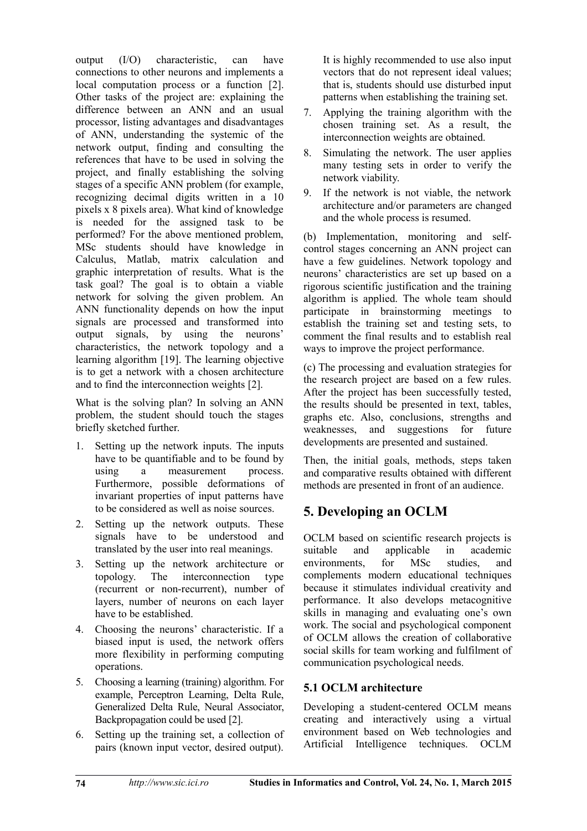output (I/O) characteristic, can have connections to other neurons and implements a local computation process or a function [2]. Other tasks of the project are: explaining the difference between an ANN and an usual processor, listing advantages and disadvantages of ANN, understanding the systemic of the network output, finding and consulting the references that have to be used in solving the project, and finally establishing the solving stages of a specific ANN problem (for example, recognizing decimal digits written in a 10 pixels x 8 pixels area). What kind of knowledge is needed for the assigned task to be performed? For the above mentioned problem, MSc students should have knowledge in Calculus, Matlab, matrix calculation and graphic interpretation of results. What is the task goal? The goal is to obtain a viable network for solving the given problem. An ANN functionality depends on how the input signals are processed and transformed into output signals, by using the neurons' characteristics, the network topology and a learning algorithm [19]. The learning objective is to get a network with a chosen architecture and to find the interconnection weights [2].

What is the solving plan? In solving an ANN problem, the student should touch the stages briefly sketched further.

- 1. Setting up the network inputs. The inputs have to be quantifiable and to be found by using a measurement process. Furthermore, possible deformations of invariant properties of input patterns have to be considered as well as noise sources.
- 2. Setting up the network outputs. These signals have to be understood and translated by the user into real meanings.
- 3. Setting up the network architecture or topology. The interconnection type (recurrent or non-recurrent), number of layers, number of neurons on each layer have to be established.
- 4. Choosing the neurons' characteristic. If a biased input is used, the network offers more flexibility in performing computing operations.
- 5. Choosing a learning (training) algorithm. For example, Perceptron Learning, Delta Rule, Generalized Delta Rule, Neural Associator, Backpropagation could be used [2].
- 6. Setting up the training set, a collection of pairs (known input vector, desired output).

It is highly recommended to use also input vectors that do not represent ideal values; that is, students should use disturbed input patterns when establishing the training set.

- 7. Applying the training algorithm with the chosen training set. As a result, the interconnection weights are obtained.
- 8. Simulating the network. The user applies many testing sets in order to verify the network viability.
- 9. If the network is not viable, the network architecture and/or parameters are changed and the whole process is resumed.

(b) Implementation, monitoring and selfcontrol stages concerning an ANN project can have a few guidelines. Network topology and neurons' characteristics are set up based on a rigorous scientific justification and the training algorithm is applied. The whole team should participate in brainstorming meetings to establish the training set and testing sets, to comment the final results and to establish real ways to improve the project performance.

(c) The processing and evaluation strategies for the research project are based on a few rules. After the project has been successfully tested, the results should be presented in text, tables, graphs etc. Also, conclusions, strengths and weaknesses, and suggestions for future developments are presented and sustained.

Then, the initial goals, methods, steps taken and comparative results obtained with different methods are presented in front of an audience.

# **5. Developing an OCLM**

OCLM based on scientific research projects is suitable and applicable in academic environments for MSc studies and complements modern educational techniques because it stimulates individual creativity and performance. It also develops metacognitive skills in managing and evaluating one's own work. The social and psychological component of OCLM allows the creation of collaborative social skills for team working and fulfilment of communication psychological needs.

#### **5.1 OCLM architecture**

Developing a student-centered OCLM means creating and interactively using a virtual environment based on Web technologies and Artificial Intelligence techniques. OCLM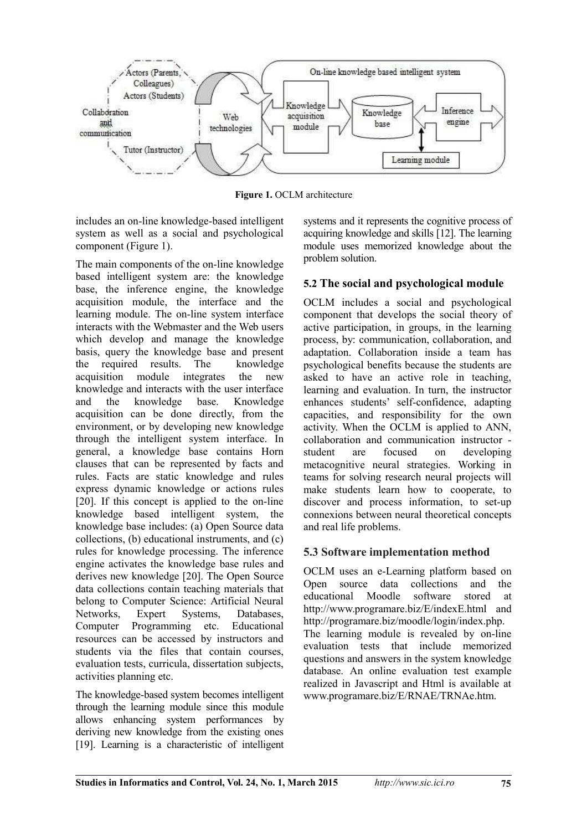

**Figure 1.** OCLM architecture

includes an on-line knowledge-based intelligent system as well as a social and psychological component (Figure 1).

The main components of the on-line knowledge based intelligent system are: the knowledge base, the inference engine, the knowledge acquisition module, the interface and the learning module. The on-line system interface interacts with the Webmaster and the Web users which develop and manage the knowledge basis, query the knowledge base and present the required results. The knowledge acquisition module integrates the new knowledge and interacts with the user interface and the knowledge base. Knowledge acquisition can be done directly, from the environment, or by developing new knowledge through the intelligent system interface. In general, a knowledge base contains Horn clauses that can be represented by facts and rules. Facts are static knowledge and rules express dynamic knowledge or actions rules [20]. If this concept is applied to the on-line knowledge based intelligent system, the knowledge base includes: (a) Open Source data collections, (b) educational instruments, and (c) rules for knowledge processing. The inference engine activates the knowledge base rules and derives new knowledge [20]. The Open Source data collections contain teaching materials that belong to Computer Science: Artificial Neural Networks, Expert Systems, Databases, Computer Programming etc. Educational resources can be accessed by instructors and students via the files that contain courses, evaluation tests, curricula, dissertation subjects, activities planning etc.

The knowledge-based system becomes intelligent through the learning module since this module allows enhancing system performances by deriving new knowledge from the existing ones [19]. Learning is a characteristic of intelligent systems and it represents the cognitive process of acquiring knowledge and skills [12]. The learning module uses memorized knowledge about the problem solution.

#### **5.2 The social and psychological module**

OCLM includes a social and psychological component that develops the social theory of active participation, in groups, in the learning process, by: communication, collaboration, and adaptation. Collaboration inside a team has psychological benefits because the students are asked to have an active role in teaching, learning and evaluation. In turn, the instructor enhances students' self-confidence, adapting capacities, and responsibility for the own activity. When the OCLM is applied to ANN, collaboration and communication instructor student are focused on developing metacognitive neural strategies. Working in teams for solving research neural projects will make students learn how to cooperate, to discover and process information, to set-up connexions between neural theoretical concepts and real life problems.

#### **5.3 Software implementation method**

OCLM uses an e-Learning platform based on Open source data collections and the educational Moodle software stored at http://www.programare.biz/E/indexE.html and http://programare.biz/moodle/login/index.php. The learning module is revealed by on-line evaluation tests that include memorized questions and answers in the system knowledge database. An online evaluation test example realized in Javascript and Html is available at www.programare.biz/E/RNAE/TRNAe.htm.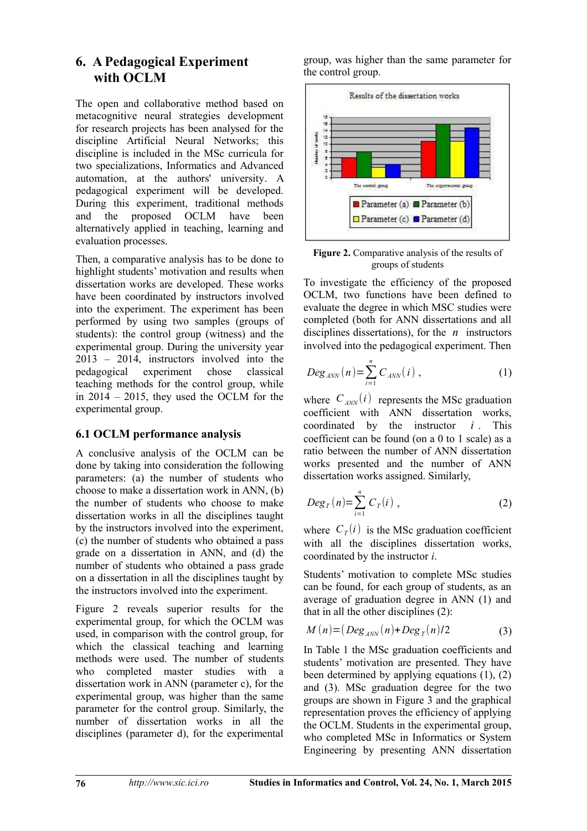## **6. A Pedagogical Experiment with OCLM**

The open and collaborative method based on metacognitive neural strategies development for research projects has been analysed for the discipline Artificial Neural Networks; this discipline is included in the MSc curricula for two specializations, Informatics and Advanced automation, at the authors' university. A pedagogical experiment will be developed. During this experiment, traditional methods and the proposed OCLM have been alternatively applied in teaching, learning and evaluation processes.

Then, a comparative analysis has to be done to highlight students' motivation and results when dissertation works are developed. These works have been coordinated by instructors involved into the experiment. The experiment has been performed by using two samples (groups of students): the control group (witness) and the experimental group. During the university year 2013 – 2014, instructors involved into the pedagogical experiment chose classical teaching methods for the control group, while in 2014 – 2015, they used the OCLM for the experimental group.

#### **6.1 OCLM performance analysis**

A conclusive analysis of the OCLM can be done by taking into consideration the following parameters: (a) the number of students who choose to make a dissertation work in ANN, (b) the number of students who choose to make dissertation works in all the disciplines taught by the instructors involved into the experiment, (c) the number of students who obtained a pass grade on a dissertation in ANN, and (d) the number of students who obtained a pass grade on a dissertation in all the disciplines taught by the instructors involved into the experiment.

Figure 2 reveals superior results for the experimental group, for which the OCLM was used, in comparison with the control group, for which the classical teaching and learning methods were used. The number of students who completed master studies with a dissertation work in ANN (parameter c), for the experimental group, was higher than the same parameter for the control group. Similarly, the number of dissertation works in all the disciplines (parameter d), for the experimental

group, was higher than the same parameter for the control group.



**Figure 2.** Comparative analysis of the results of groups of students

To investigate the efficiency of the proposed OCLM, two functions have been defined to evaluate the degree in which MSC studies were completed (both for ANN dissertations and all disciplines dissertations), for the *n* instructors involved into the pedagogical experiment. Then

$$
Deg_{ANN}(n) = \sum_{i=1}^{n} C_{ANN}(i) , \qquad (1)
$$

where  $C_{ANN}(i)$  represents the MSc graduation coefficient with ANN dissertation works, coordinated by the instructor *i* . This coefficient can be found (on a 0 to 1 scale) as a ratio between the number of ANN dissertation works presented and the number of ANN dissertation works assigned. Similarly,

$$
Deg_T(n)=\sum_{i=1}^n C_T(i)\,,\qquad(2)
$$

where  $C_T(i)$  is the MSc graduation coefficient with all the disciplines dissertation works, coordinated by the instructor *i*.

Students' motivation to complete MSc studies can be found, for each group of students, as an average of graduation degree in ANN (1) and that in all the other disciplines (2):

$$
M(n) = (Deg_{ANN}(n) + Deg_T(n)/2 \tag{3}
$$

In Table 1 the MSc graduation coefficients and students' motivation are presented. They have been determined by applying equations (1), (2) and (3). MSc graduation degree for the two groups are shown in Figure 3 and the graphical representation proves the efficiency of applying the OCLM. Students in the experimental group, who completed MSc in Informatics or System Engineering by presenting ANN dissertation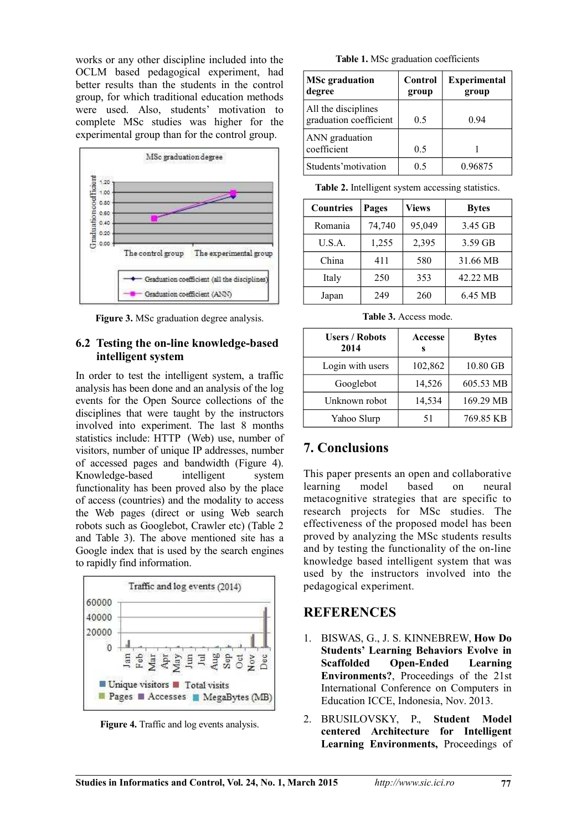works or any other discipline included into the OCLM based pedagogical experiment, had better results than the students in the control group, for which traditional education methods were used. Also, students' motivation to complete MSc studies was higher for the experimental group than for the control group.



**Figure 3.** MSc graduation degree analysis.

#### **6.2 Testing the on-line knowledge-based intelligent system**

In order to test the intelligent system, a traffic analysis has been done and an analysis of the log events for the Open Source collections of the disciplines that were taught by the instructors involved into experiment. The last 8 months statistics include: HTTP (Web) use, number of visitors, number of unique IP addresses, number of accessed pages and bandwidth (Figure 4). Knowledge-based intelligent system functionality has been proved also by the place of access (countries) and the modality to access the Web pages (direct or using Web search robots such as Googlebot, Crawler etc) (Table 2 and Table 3). The above mentioned site has a Google index that is used by the search engines to rapidly find information.



**Figure 4.** Traffic and log events analysis.

**Table 1.** MSc graduation coefficients

| <b>MSc</b> graduation<br>degree               | Control<br>group | <b>Experimental</b><br>group |
|-----------------------------------------------|------------------|------------------------------|
| All the disciplines<br>graduation coefficient | 0.5              | 0.94                         |
| ANN graduation<br>coefficient                 | 0.5              |                              |
| Students' motivation                          | 05               | 0.96875                      |

**Table 2.** Intelligent system accessing statistics.

| <b>Countries</b> | Pages  | Views  | <b>Bytes</b> |
|------------------|--------|--------|--------------|
| Romania          | 74,740 | 95,049 | 3.45 GB      |
| U.S.A.           | 1,255  | 2,395  | 3.59 GB      |
| China            | 411    | 580    | 31.66 MB     |
| Italy            | 250    | 353    | 42.22 MB     |
| Japan            | 249    | 260    | 6.45 MB      |

**Table 3.** Access mode.

| <b>Users / Robots</b><br>2014 | Accesse<br>s | <b>Bytes</b> |
|-------------------------------|--------------|--------------|
| Login with users              | 102,862      | 10.80 GB     |
| Googlebot                     | 14,526       | 605.53 MB    |
| Unknown robot                 | 14,534       | 169.29 MB    |
| Yahoo Slurp                   | 51           | 769.85 KB    |

# **7. Conclusions**

This paper presents an open and collaborative learning model based on neural metacognitive strategies that are specific to research projects for MSc studies. The effectiveness of the proposed model has been proved by analyzing the MSc students results and by testing the functionality of the on-line knowledge based intelligent system that was used by the instructors involved into the pedagogical experiment.

# **REFERENCES**

- 1. BISWAS, G., J. S. KINNEBREW, **How Do Students' Learning Behaviors Evolve in Scaffolded Open-Ended Learning Environments?**, Proceedings of the 21st International Conference on Computers in Education ICCE, Indonesia, Nov. 2013.
- 2. BRUSILOVSKY, P., **Student Model centered Architecture for Intelligent Learning Environments,** Proceedings of